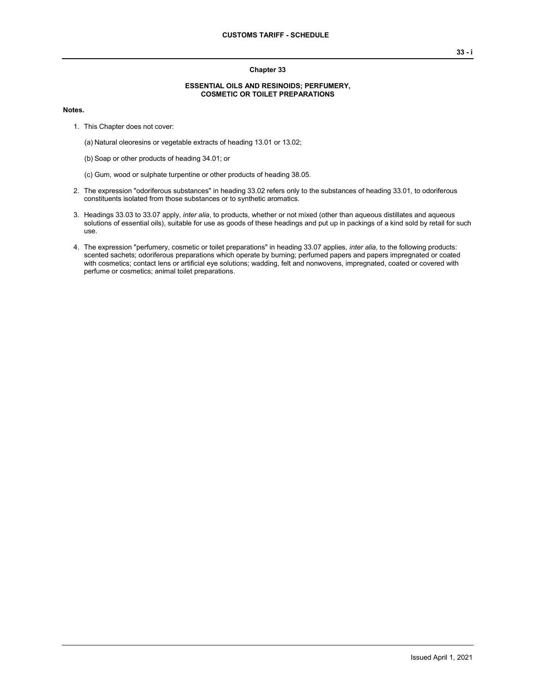## **Chapter 33**

## **ESSENTIAL OILS AND RESINOIDS; PERFUMERY, COSMETIC OR TOILET PREPARATIONS**

## **Notes.**

- 1. This Chapter does not cover:
	- (a) Natural oleoresins or vegetable extracts of heading 13.01 or 13.02;
	- (b) Soap or other products of heading 34.01; or
	- (c) Gum, wood or sulphate turpentine or other products of heading 38.05.
- 2. The expression "odoriferous substances" in heading 33.02 refers only to the substances of heading 33.01, to odoriferous constituents isolated from those substances or to synthetic aromatics.
- 3. Headings 33.03 to 33.07 apply, *inter alia*, to products, whether or not mixed (other than aqueous distillates and aqueous solutions of essential oils), suitable for use as goods of these headings and put up in packings of a kind sold by retail for such use.
- 4. The expression "perfumery, cosmetic or toilet preparations" in heading 33.07 applies, *inter alia*, to the following products: scented sachets; odoriferous preparations which operate by burning; perfumed papers and papers impregnated or coated with cosmetics; contact lens or artificial eye solutions; wadding, felt and nonwovens, impregnated, coated or covered with perfume or cosmetics; animal toilet preparations.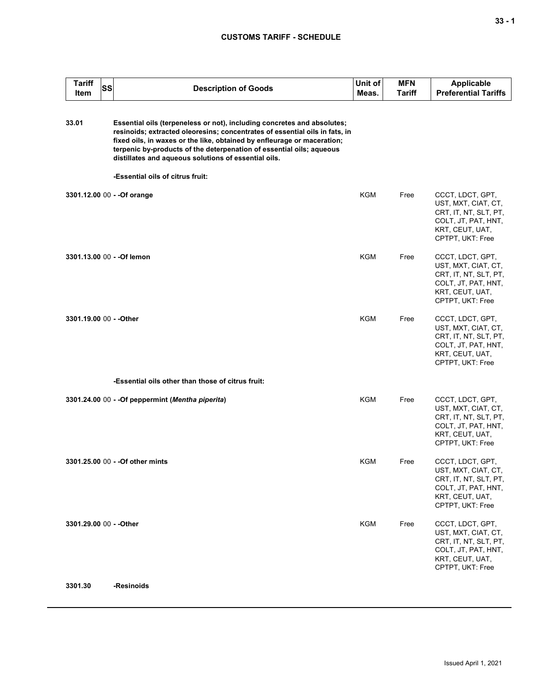## **CUSTOMS TARIFF - SCHEDULE**

| <b>Tariff</b><br>Item   | SS | <b>Description of Goods</b>                                                                                                                                                                                                                                                                                                                                       | Unit of<br>Meas. | <b>MFN</b><br>Tariff | <b>Applicable</b><br><b>Preferential Tariffs</b>                                                                               |
|-------------------------|----|-------------------------------------------------------------------------------------------------------------------------------------------------------------------------------------------------------------------------------------------------------------------------------------------------------------------------------------------------------------------|------------------|----------------------|--------------------------------------------------------------------------------------------------------------------------------|
| 33.01                   |    | Essential oils (terpeneless or not), including concretes and absolutes;<br>resinoids; extracted oleoresins; concentrates of essential oils in fats, in<br>fixed oils, in waxes or the like, obtained by enfleurage or maceration;<br>terpenic by-products of the deterpenation of essential oils; aqueous<br>distillates and aqueous solutions of essential oils. |                  |                      |                                                                                                                                |
|                         |    | -Essential oils of citrus fruit:                                                                                                                                                                                                                                                                                                                                  |                  |                      |                                                                                                                                |
|                         |    | 3301.12.00 00 - - Of orange                                                                                                                                                                                                                                                                                                                                       | KGM              | Free                 | CCCT, LDCT, GPT,<br>UST, MXT, CIAT, CT,<br>CRT, IT, NT, SLT, PT,<br>COLT, JT, PAT, HNT,<br>KRT, CEUT, UAT,<br>CPTPT, UKT: Free |
|                         |    | 3301.13.00 00 - - Of lemon                                                                                                                                                                                                                                                                                                                                        | KGM              | Free                 | CCCT, LDCT, GPT,<br>UST, MXT, CIAT, CT,<br>CRT, IT, NT, SLT, PT,<br>COLT, JT, PAT, HNT,<br>KRT, CEUT, UAT,<br>CPTPT, UKT: Free |
| 3301.19.00 00 - - Other |    |                                                                                                                                                                                                                                                                                                                                                                   | <b>KGM</b>       | Free                 | CCCT, LDCT, GPT,<br>UST, MXT, CIAT, CT,<br>CRT, IT, NT, SLT, PT,<br>COLT, JT, PAT, HNT,<br>KRT, CEUT, UAT,<br>CPTPT, UKT: Free |
|                         |    | -Essential oils other than those of citrus fruit:                                                                                                                                                                                                                                                                                                                 |                  |                      |                                                                                                                                |
|                         |    | 3301.24.00 00 - - Of peppermint (Mentha piperita)                                                                                                                                                                                                                                                                                                                 | KGM              | Free                 | CCCT, LDCT, GPT,<br>UST, MXT, CIAT, CT,<br>CRT, IT, NT, SLT, PT,<br>COLT, JT, PAT, HNT,<br>KRT, CEUT, UAT,<br>CPTPT, UKT: Free |
|                         |    | 3301.25.00 00 - - Of other mints                                                                                                                                                                                                                                                                                                                                  | KGM              | Free                 | CCCT, LDCT, GPT,<br>UST, MXT, CIAT, CT,<br>CRT, IT, NT, SLT, PT,<br>COLT, JT, PAT, HNT,<br>KRT, CEUT, UAT,<br>CPTPT, UKT: Free |
| 3301.29.00 00 - - Other |    |                                                                                                                                                                                                                                                                                                                                                                   | <b>KGM</b>       | Free                 | CCCT, LDCT, GPT,<br>UST, MXT, CIAT, CT,<br>CRT, IT, NT, SLT, PT,<br>COLT, JT, PAT, HNT,<br>KRT, CEUT, UAT,<br>CPTPT, UKT: Free |
| 3301.30                 |    | -Resinoids                                                                                                                                                                                                                                                                                                                                                        |                  |                      |                                                                                                                                |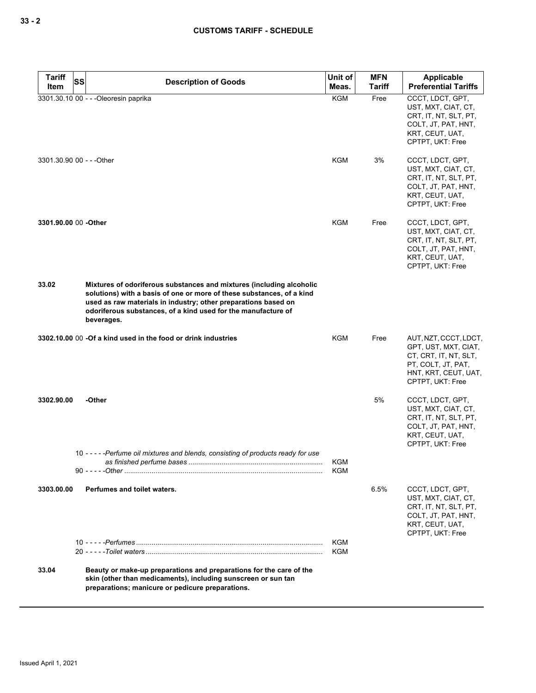| <b>Tariff</b>             | SS<br><b>Description of Goods</b>                                                                                                                                                                                                                                                              | Unit of                  | <b>MFN</b> | Applicable                                                                                                                               |
|---------------------------|------------------------------------------------------------------------------------------------------------------------------------------------------------------------------------------------------------------------------------------------------------------------------------------------|--------------------------|------------|------------------------------------------------------------------------------------------------------------------------------------------|
| ltem                      |                                                                                                                                                                                                                                                                                                | Meas.                    | Tariff     | <b>Preferential Tariffs</b>                                                                                                              |
|                           | 3301.30.10 00 - - - Oleoresin paprika                                                                                                                                                                                                                                                          | <b>KGM</b>               | Free       | CCCT, LDCT, GPT,<br>UST, MXT, CIAT, CT,<br>CRT, IT, NT, SLT, PT,<br>COLT, JT, PAT, HNT,<br>KRT, CEUT, UAT,<br>CPTPT, UKT: Free           |
| 3301.30.90 00 - - - Other |                                                                                                                                                                                                                                                                                                | KGM                      | 3%         | CCCT, LDCT, GPT,<br>UST, MXT, CIAT, CT,<br>CRT, IT, NT, SLT, PT,<br>COLT, JT, PAT, HNT,<br>KRT, CEUT, UAT,<br>CPTPT, UKT: Free           |
| 3301.90.00 00 -Other      |                                                                                                                                                                                                                                                                                                | <b>KGM</b>               | Free       | CCCT, LDCT, GPT,<br>UST, MXT, CIAT, CT,<br>CRT, IT, NT, SLT, PT,<br>COLT, JT, PAT, HNT,<br>KRT, CEUT, UAT,<br>CPTPT, UKT: Free           |
| 33.02                     | Mixtures of odoriferous substances and mixtures (including alcoholic<br>solutions) with a basis of one or more of these substances, of a kind<br>used as raw materials in industry; other preparations based on<br>odoriferous substances, of a kind used for the manufacture of<br>beverages. |                          |            |                                                                                                                                          |
|                           | 3302.10.00 00 -Of a kind used in the food or drink industries                                                                                                                                                                                                                                  | KGM                      | Free       | AUT, NZT, CCCT, LDCT,<br>GPT, UST, MXT, CIAT,<br>CT, CRT, IT, NT, SLT,<br>PT, COLT, JT, PAT,<br>HNT, KRT, CEUT, UAT,<br>CPTPT, UKT: Free |
| 3302.90.00                | -Other                                                                                                                                                                                                                                                                                         |                          | 5%         | CCCT, LDCT, GPT,<br>UST, MXT, CIAT, CT,<br>CRT, IT, NT, SLT, PT,<br>COLT, JT, PAT, HNT,<br>KRT, CEUT, UAT,<br>CPTPT, UKT: Free           |
|                           | 10 ----- Perfume oil mixtures and blends, consisting of products ready for use<br>as finished perfume bases                                                                                                                                                                                    | KGM<br>KGM               |            |                                                                                                                                          |
| 3303.00.00                | Perfumes and toilet waters.                                                                                                                                                                                                                                                                    |                          | 6.5%       | CCCT, LDCT, GPT,<br>UST, MXT, CIAT, CT,<br>CRT, IT, NT, SLT, PT,<br>COLT, JT, PAT, HNT,<br>KRT, CEUT, UAT,<br>CPTPT, UKT: Free           |
|                           |                                                                                                                                                                                                                                                                                                | <b>KGM</b><br><b>KGM</b> |            |                                                                                                                                          |
| 33.04                     | Beauty or make-up preparations and preparations for the care of the<br>skin (other than medicaments), including sunscreen or sun tan<br>preparations; manicure or pedicure preparations.                                                                                                       |                          |            |                                                                                                                                          |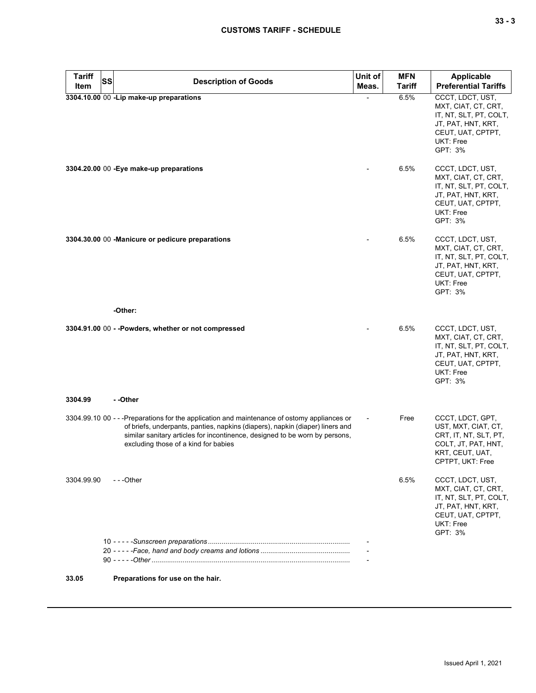| <b>Tariff</b> | <b>SS</b> | <b>Description of Goods</b>                                                                                                                                                                                                                                                                          | Unit of | <b>MFN</b>    | <b>Applicable</b>                                                                                                                    |
|---------------|-----------|------------------------------------------------------------------------------------------------------------------------------------------------------------------------------------------------------------------------------------------------------------------------------------------------------|---------|---------------|--------------------------------------------------------------------------------------------------------------------------------------|
| Item          |           |                                                                                                                                                                                                                                                                                                      | Meas.   | <b>Tariff</b> | <b>Preferential Tariffs</b>                                                                                                          |
|               |           | 3304.10.00 00 -Lip make-up preparations                                                                                                                                                                                                                                                              |         | 6.5%          | CCCT, LDCT, UST,<br>MXT, CIAT, CT, CRT,<br>IT, NT, SLT, PT, COLT,<br>JT, PAT, HNT, KRT,<br>CEUT, UAT, CPTPT,<br>UKT: Free<br>GPT: 3% |
|               |           | 3304.20.00 00 - Eye make-up preparations                                                                                                                                                                                                                                                             |         | 6.5%          | CCCT, LDCT, UST,<br>MXT, CIAT, CT, CRT,<br>IT, NT, SLT, PT, COLT,<br>JT, PAT, HNT, KRT,<br>CEUT, UAT, CPTPT,<br>UKT: Free<br>GPT: 3% |
|               |           | 3304.30.00 00 -Manicure or pedicure preparations                                                                                                                                                                                                                                                     |         | 6.5%          | CCCT, LDCT, UST,<br>MXT, CIAT, CT, CRT,<br>IT, NT, SLT, PT, COLT,<br>JT, PAT, HNT, KRT,<br>CEUT, UAT, CPTPT,<br>UKT: Free<br>GPT: 3% |
|               |           | -Other:                                                                                                                                                                                                                                                                                              |         |               |                                                                                                                                      |
|               |           | 3304.91.00 00 - -Powders, whether or not compressed                                                                                                                                                                                                                                                  |         | 6.5%          | CCCT, LDCT, UST,<br>MXT, CIAT, CT, CRT,<br>IT, NT, SLT, PT, COLT,<br>JT, PAT, HNT, KRT,<br>CEUT, UAT, CPTPT,<br>UKT: Free<br>GPT: 3% |
| 3304.99       |           | - -Other                                                                                                                                                                                                                                                                                             |         |               |                                                                                                                                      |
|               |           | 3304.99.10 00 - - - Preparations for the application and maintenance of ostomy appliances or<br>of briefs, underpants, panties, napkins (diapers), napkin (diaper) liners and<br>similar sanitary articles for incontinence, designed to be worn by persons,<br>excluding those of a kind for babies |         | Free          | CCCT, LDCT, GPT,<br>UST, MXT, CIAT, CT,<br>CRT, IT, NT, SLT, PT,<br>COLT, JT, PAT, HNT,<br>KRT, CEUT, UAT,<br>CPTPT, UKT: Free       |
| 3304.99.90    |           | $- -$ Other                                                                                                                                                                                                                                                                                          |         | 6.5%          | CCCT, LDCT, UST,<br>MXT, CIAT, CT, CRT,<br>IT, NT, SLT, PT, COLT,<br>JT, PAT, HNT, KRT,<br>CEUT, UAT, CPTPT,<br>UKT: Free<br>GPT: 3% |
|               |           |                                                                                                                                                                                                                                                                                                      |         |               |                                                                                                                                      |
|               |           |                                                                                                                                                                                                                                                                                                      |         |               |                                                                                                                                      |
| 33.05         |           | Preparations for use on the hair.                                                                                                                                                                                                                                                                    |         |               |                                                                                                                                      |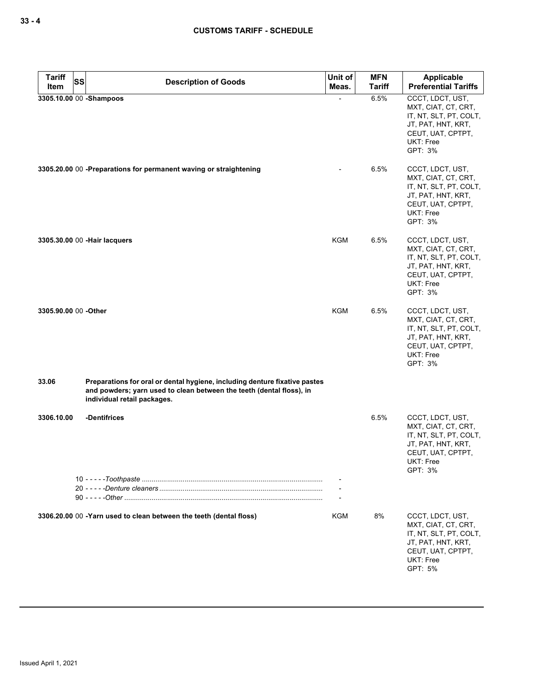| <b>Tariff</b><br><b>SS</b><br>Item | <b>Description of Goods</b>                                                                                                                                                       | Unit of<br>Meas. | <b>MFN</b><br><b>Tariff</b> | Applicable<br><b>Preferential Tariffs</b>                                                                                            |
|------------------------------------|-----------------------------------------------------------------------------------------------------------------------------------------------------------------------------------|------------------|-----------------------------|--------------------------------------------------------------------------------------------------------------------------------------|
| 3305.10.00 00 -Shampoos            |                                                                                                                                                                                   |                  | 6.5%                        | CCCT, LDCT, UST,<br>MXT, CIAT, CT, CRT,<br>IT, NT, SLT, PT, COLT,<br>JT, PAT, HNT, KRT,<br>CEUT, UAT, CPTPT,<br>UKT: Free<br>GPT: 3% |
|                                    | 3305.20.00 00 -Preparations for permanent waving or straightening                                                                                                                 |                  | 6.5%                        | CCCT, LDCT, UST,<br>MXT, CIAT, CT, CRT,<br>IT, NT, SLT, PT, COLT,<br>JT, PAT, HNT, KRT,<br>CEUT, UAT, CPTPT,<br>UKT: Free<br>GPT: 3% |
|                                    | 3305.30.00 00 - Hair lacquers                                                                                                                                                     | KGM              | 6.5%                        | CCCT, LDCT, UST,<br>MXT, CIAT, CT, CRT,<br>IT, NT, SLT, PT, COLT,<br>JT, PAT, HNT, KRT,<br>CEUT, UAT, CPTPT,<br>UKT: Free<br>GPT: 3% |
| 3305.90.00 00 - Other              |                                                                                                                                                                                   | KGM              | 6.5%                        | CCCT, LDCT, UST,<br>MXT, CIAT, CT, CRT,<br>IT, NT, SLT, PT, COLT,<br>JT, PAT, HNT, KRT,<br>CEUT, UAT, CPTPT,<br>UKT: Free<br>GPT: 3% |
| 33.06                              | Preparations for oral or dental hygiene, including denture fixative pastes<br>and powders; yarn used to clean between the teeth (dental floss), in<br>individual retail packages. |                  |                             |                                                                                                                                      |
| 3306.10.00                         | -Dentifrices                                                                                                                                                                      |                  | 6.5%                        | CCCT, LDCT, UST,<br>MXT, CIAT, CT, CRT,<br>IT, NT, SLT, PT, COLT,<br>JT, PAT, HNT, KRT,<br>CEUT, UAT, CPTPT,<br>UKT: Free<br>GPT: 3% |
|                                    |                                                                                                                                                                                   |                  |                             |                                                                                                                                      |
|                                    | 3306.20.00 00 -Yarn used to clean between the teeth (dental floss)                                                                                                                | KGM              | 8%                          | CCCT, LDCT, UST,<br>MXT, CIAT, CT, CRT,<br>IT, NT, SLT, PT, COLT,<br>JT, PAT, HNT, KRT,<br>CEUT, UAT, CPTPT,<br>UKT: Free<br>GPT: 5% |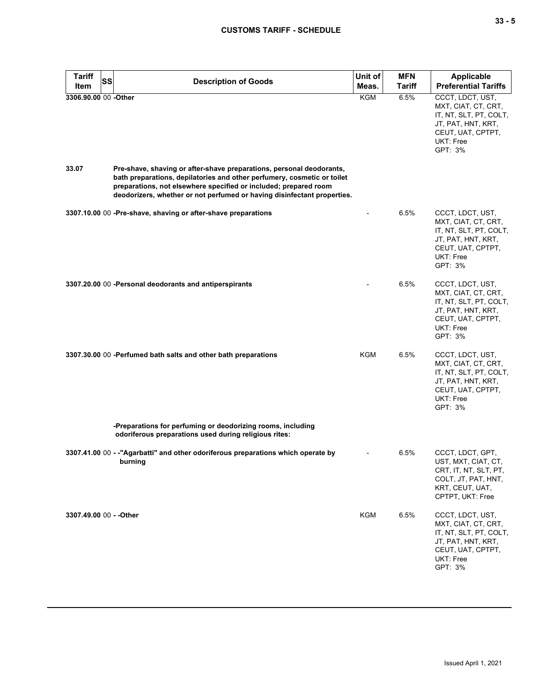| <b>Tariff</b><br>SS<br>Item | <b>Description of Goods</b>                                                                                                                                                                                                                                                                    | Unit of<br>Meas. | <b>MFN</b><br><b>Tariff</b> | <b>Applicable</b><br><b>Preferential Tariffs</b>                                                                                     |
|-----------------------------|------------------------------------------------------------------------------------------------------------------------------------------------------------------------------------------------------------------------------------------------------------------------------------------------|------------------|-----------------------------|--------------------------------------------------------------------------------------------------------------------------------------|
| 3306.90.00 00 -Other        |                                                                                                                                                                                                                                                                                                | KGM              | 6.5%                        | CCCT, LDCT, UST,<br>MXT, CIAT, CT, CRT,<br>IT, NT, SLT, PT, COLT,<br>JT, PAT, HNT, KRT,<br>CEUT, UAT, CPTPT,<br>UKT: Free<br>GPT: 3% |
| 33.07                       | Pre-shave, shaving or after-shave preparations, personal deodorants,<br>bath preparations, depilatories and other perfumery, cosmetic or toilet<br>preparations, not elsewhere specified or included; prepared room<br>deodorizers, whether or not perfumed or having disinfectant properties. |                  |                             |                                                                                                                                      |
|                             | 3307.10.00 00 -Pre-shave, shaving or after-shave preparations                                                                                                                                                                                                                                  |                  | 6.5%                        | CCCT, LDCT, UST,<br>MXT, CIAT, CT, CRT,<br>IT, NT, SLT, PT, COLT,<br>JT, PAT, HNT, KRT,<br>CEUT, UAT, CPTPT,<br>UKT: Free<br>GPT: 3% |
|                             | 3307.20.00 00 -Personal deodorants and antiperspirants                                                                                                                                                                                                                                         |                  | 6.5%                        | CCCT, LDCT, UST,<br>MXT, CIAT, CT, CRT,<br>IT, NT, SLT, PT, COLT,<br>JT, PAT, HNT, KRT,<br>CEUT, UAT, CPTPT,<br>UKT: Free<br>GPT: 3% |
|                             | 3307.30.00 00 -Perfumed bath salts and other bath preparations                                                                                                                                                                                                                                 | <b>KGM</b>       | 6.5%                        | CCCT, LDCT, UST,<br>MXT, CIAT, CT, CRT,<br>IT, NT, SLT, PT, COLT,<br>JT, PAT, HNT, KRT,<br>CEUT, UAT, CPTPT,<br>UKT: Free<br>GPT: 3% |
|                             | -Preparations for perfuming or deodorizing rooms, including<br>odoriferous preparations used during religious rites:                                                                                                                                                                           |                  |                             |                                                                                                                                      |
|                             | 3307.41.00 00 - -"Agarbatti" and other odoriferous preparations which operate by<br>burning                                                                                                                                                                                                    |                  | 6.5%                        | CCCT, LDCT, GPT,<br>UST, MXT, CIAT, CT,<br>CRT, IT, NT, SLT, PT,<br>COLT, JT, PAT, HNT,<br>KRT, CEUT, UAT,<br>CPTPT, UKT: Free       |
| 3307.49.00 00 - - Other     |                                                                                                                                                                                                                                                                                                | KGM              | 6.5%                        | CCCT, LDCT, UST,<br>MXT, CIAT, CT, CRT,<br>IT, NT, SLT, PT, COLT,<br>JT, PAT, HNT, KRT,<br>CEUT, UAT, CPTPT,<br>UKT: Free<br>GPT: 3% |